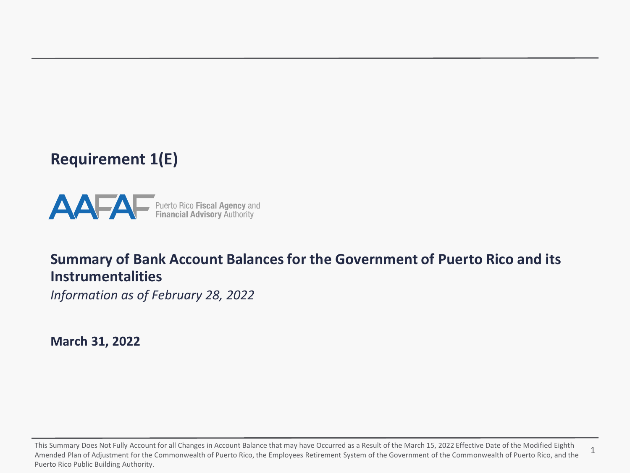# **Requirement 1(E)**



#### **Summary of Bank Account Balances for the Government of Puerto Rico and its Instrumentalities**

*Information as of February 28, 2022*

**March 31, 2022**

<sup>1</sup> This Summary Does Not Fully Account for all Changes in Account Balance that may have Occurred as a Result of the March 15, 2022 Effective Date of the Modified Eighth Amended Plan of Adjustment for the Commonwealth of Puerto Rico, the Employees Retirement System of the Government of the Commonwealth of Puerto Rico, and the Puerto Rico Public Building Authority.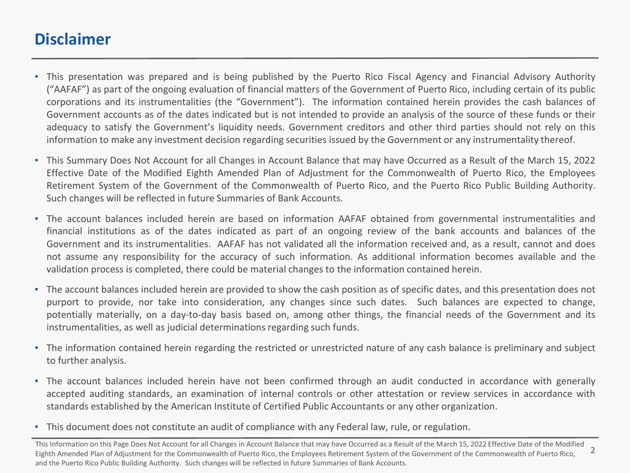## **Disclaimer**

- This presentation was prepared and is being published by the Puerto Rico Fiscal Agency and Financial Advisory Authority ("AAFAF") as part of the ongoing evaluation of financial matters of the Government of Puerto Rico, including certain of its public corporations and its instrumentalities (the "Government"). The information contained herein provides the cash balances of Government accounts as of the dates indicated but is not intended to provide an analysis of the source of these funds or their adequacy to satisfy the Government's liquidity needs. Government creditors and other third parties should not rely on this information to make any investment decision regarding securities issued by the Government or any instrumentality thereof.
- This Summary Does Not Account for all Changes in Account Balance that may have Occurred as a Result of the March 15, 2022 Effective Date of the Modified Eighth Amended Plan of Adjustment for the Commonwealth of Puerto Rico, the Employees Retirement System of the Government of the Commonwealth of Puerto Rico, and the Puerto Rico Public Building Authority. Such changes will be reflected in future Summaries of Bank Accounts.
- The account balances included herein are based on information AAFAF obtained from governmental instrumentalities and financial institutions as of the dates indicated as part of an ongoing review of the bank accounts and balances of the Government and its instrumentalities. AAFAF has not validated all the information received and, as a result, cannot and does not assume any responsibility for the accuracy of such information. As additional information becomes available and the validation process is completed, there could be material changes to the information contained herein.
- The account balances included herein are provided to show the cash position as of specific dates, and this presentation does not purport to provide, nor take into consideration, any changes since such dates. Such balances are expected to change, potentially materially, on a day-to-day basis based on, among other things, the financial needs of the Government and its instrumentalities, as well as judicial determinations regarding such funds.
- The information contained herein regarding the restricted or unrestricted nature of any cash balance is preliminary and subject to further analysis.
- The account balances included herein have not been confirmed through an audit conducted in accordance with generally accepted auditing standards, an examination of internal controls or other attestation or review services in accordance with standards established by the American Institute of Certified Public Accountants or any other organization.
- This document does not constitute an audit of compliance with any Federal law, rule, or regulation.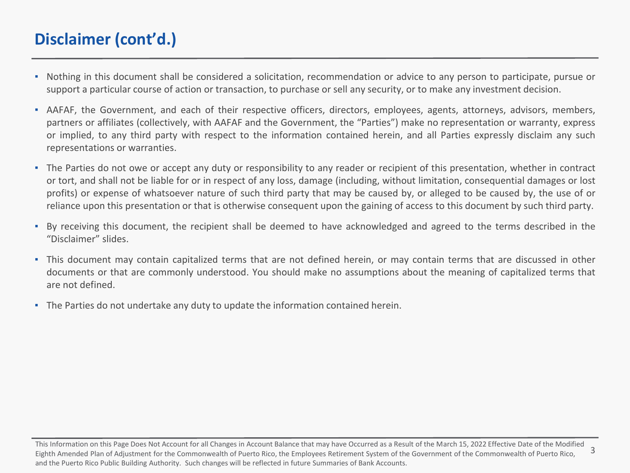# **Disclaimer (cont'd.)**

- Nothing in this document shall be considered a solicitation, recommendation or advice to any person to participate, pursue or support a particular course of action or transaction, to purchase or sell any security, or to make any investment decision.
- AAFAF, the Government, and each of their respective officers, directors, employees, agents, attorneys, advisors, members, partners or affiliates (collectively, with AAFAF and the Government, the "Parties") make no representation or warranty, express or implied, to any third party with respect to the information contained herein, and all Parties expressly disclaim any such representations or warranties.
- The Parties do not owe or accept any duty or responsibility to any reader or recipient of this presentation, whether in contract or tort, and shall not be liable for or in respect of any loss, damage (including, without limitation, consequential damages or lost profits) or expense of whatsoever nature of such third party that may be caused by, or alleged to be caused by, the use of or reliance upon this presentation or that is otherwise consequent upon the gaining of access to this document by such third party.
- By receiving this document, the recipient shall be deemed to have acknowledged and agreed to the terms described in the "Disclaimer" slides.
- This document may contain capitalized terms that are not defined herein, or may contain terms that are discussed in other documents or that are commonly understood. You should make no assumptions about the meaning of capitalized terms that are not defined.
- The Parties do not undertake any duty to update the information contained herein.

<sup>3</sup> This Information on this Page Does Not Account for all Changes in Account Balance that may have Occurred as a Result of the March 15, 2022 Effective Date of the Modified Eighth Amended Plan of Adjustment for the Commonwealth of Puerto Rico, the Employees Retirement System of the Government of the Commonwealth of Puerto Rico, and the Puerto Rico Public Building Authority. Such changes will be reflected in future Summaries of Bank Accounts.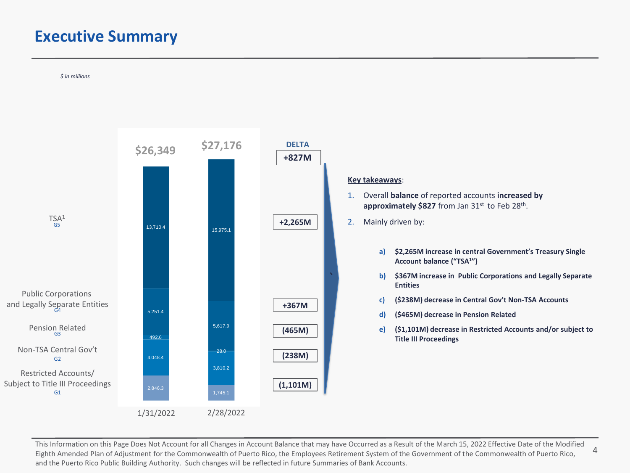#### **Executive Summary**



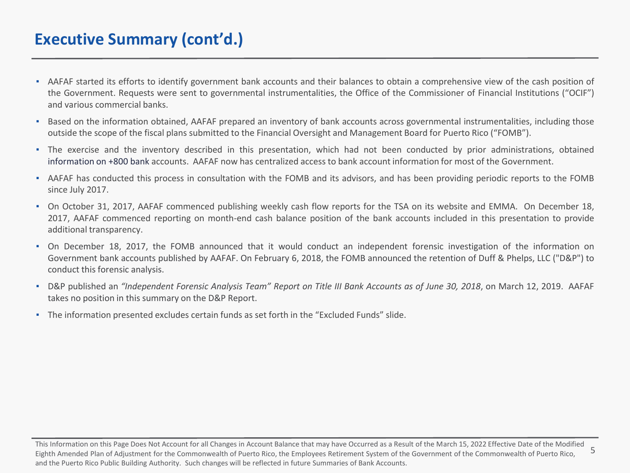# **Executive Summary (cont'd.)**

- AAFAF started its efforts to identify government bank accounts and their balances to obtain a comprehensive view of the cash position of the Government. Requests were sent to governmental instrumentalities, the Office of the Commissioner of Financial Institutions ("OCIF") and various commercial banks.
- Based on the information obtained, AAFAF prepared an inventory of bank accounts across governmental instrumentalities, including those outside the scope of the fiscal plans submitted to the Financial Oversight and Management Board for Puerto Rico ("FOMB").
- The exercise and the inventory described in this presentation, which had not been conducted by prior administrations, obtained information on +800 bank accounts. AAFAF now has centralized access to bank account information for most of the Government.
- AAFAF has conducted this process in consultation with the FOMB and its advisors, and has been providing periodic reports to the FOMB since July 2017.
- On October 31, 2017, AAFAF commenced publishing weekly cash flow reports for the TSA on its website and EMMA. On December 18, 2017, AAFAF commenced reporting on month-end cash balance position of the bank accounts included in this presentation to provide additional transparency.
- On December 18, 2017, the FOMB announced that it would conduct an independent forensic investigation of the information on Government bank accounts published by AAFAF. On February 6, 2018, the FOMB announced the retention of Duff & Phelps, LLC ("D&P") to conduct this forensic analysis.
- D&P published an "Independent Forensic Analysis Team" Report on Title III Bank Accounts as of June 30, 2018, on March 12, 2019. AAFAF takes no position in this summary on the D&P Report.
- The information presented excludes certain funds as set forth in the "Excluded Funds" slide.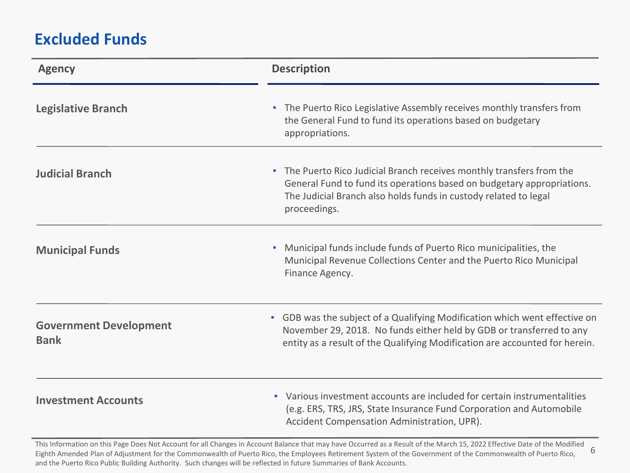# **Excluded Funds**

| <b>Agency</b>                                | <b>Description</b>                                                                                                                                                                                                                  |  |
|----------------------------------------------|-------------------------------------------------------------------------------------------------------------------------------------------------------------------------------------------------------------------------------------|--|
| <b>Legislative Branch</b>                    | • The Puerto Rico Legislative Assembly receives monthly transfers from<br>the General Fund to fund its operations based on budgetary<br>appropriations.                                                                             |  |
| <b>Judicial Branch</b>                       | • The Puerto Rico Judicial Branch receives monthly transfers from the<br>General Fund to fund its operations based on budgetary appropriations.<br>The Judicial Branch also holds funds in custody related to legal<br>proceedings. |  |
| <b>Municipal Funds</b>                       | Municipal funds include funds of Puerto Rico municipalities, the<br>m.<br>Municipal Revenue Collections Center and the Puerto Rico Municipal<br>Finance Agency.                                                                     |  |
| <b>Government Development</b><br><b>Bank</b> | • GDB was the subject of a Qualifying Modification which went effective on<br>November 29, 2018. No funds either held by GDB or transferred to any<br>entity as a result of the Qualifying Modification are accounted for herein.   |  |
| <b>Investment Accounts</b>                   | • Various investment accounts are included for certain instrumentalities<br>(e.g. ERS, TRS, JRS, State Insurance Fund Corporation and Automobile<br>Accident Compensation Administration, UPR).                                     |  |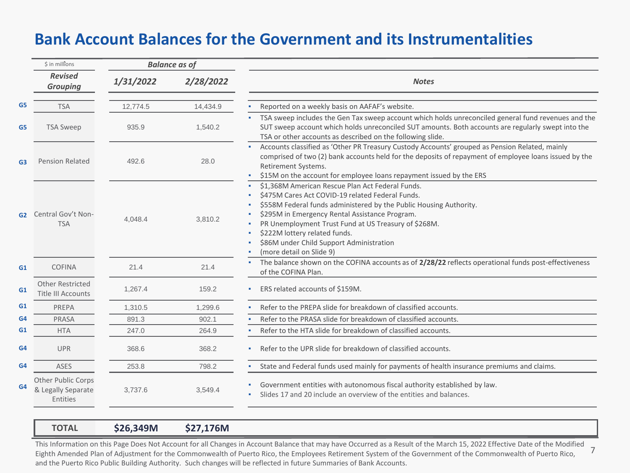#### **Bank Account Balances for the Government and its Instrumentalities**

|                | \$ in millions                                       |           | <b>Balance as of</b> |                                                                                                                                                                                                                                                                                                                                                                                               |
|----------------|------------------------------------------------------|-----------|----------------------|-----------------------------------------------------------------------------------------------------------------------------------------------------------------------------------------------------------------------------------------------------------------------------------------------------------------------------------------------------------------------------------------------|
|                | <b>Revised</b><br><b>Grouping</b>                    | 1/31/2022 | 2/28/2022            | <b>Notes</b>                                                                                                                                                                                                                                                                                                                                                                                  |
| G <sub>5</sub> | <b>TSA</b>                                           | 12.774.5  |                      |                                                                                                                                                                                                                                                                                                                                                                                               |
|                |                                                      |           | 14,434.9             | Reported on a weekly basis on AAFAF's website.                                                                                                                                                                                                                                                                                                                                                |
| G <sub>5</sub> | <b>TSA Sweep</b>                                     | 935.9     | 1,540.2              | TSA sweep includes the Gen Tax sweep account which holds unreconciled general fund revenues and the<br>SUT sweep account which holds unreconciled SUT amounts. Both accounts are regularly swept into the<br>TSA or other accounts as described on the following slide.                                                                                                                       |
| G <sub>3</sub> | <b>Pension Related</b>                               | 492.6     | 28.0                 | Accounts classified as 'Other PR Treasury Custody Accounts' grouped as Pension Related, mainly<br>comprised of two (2) bank accounts held for the deposits of repayment of employee loans issued by the<br>Retirement Systems.<br>\$15M on the account for employee loans repayment issued by the ERS                                                                                         |
|                | G2 Central Gov't Non-<br><b>TSA</b>                  | 4,048.4   | 3,810.2              | \$1,368M American Rescue Plan Act Federal Funds.<br>\$475M Cares Act COVID-19 related Federal Funds.<br>\$558M Federal funds administered by the Public Housing Authority.<br>\$295M in Emergency Rental Assistance Program.<br>PR Unemployment Trust Fund at US Treasury of \$268M.<br>\$222M lottery related funds.<br>\$86M under Child Support Administration<br>(more detail on Slide 9) |
| G1             | <b>COFINA</b>                                        | 21.4      | 21.4                 | The balance shown on the COFINA accounts as of 2/28/22 reflects operational funds post-effectiveness<br>of the COFINA Plan.                                                                                                                                                                                                                                                                   |
| G1             | <b>Other Restricted</b><br><b>Title III Accounts</b> | 1,267.4   | 159.2                | ERS related accounts of \$159M.                                                                                                                                                                                                                                                                                                                                                               |
| G1             | PREPA                                                | 1.310.5   | 1.299.6              | Refer to the PREPA slide for breakdown of classified accounts.                                                                                                                                                                                                                                                                                                                                |
| G <sub>4</sub> | PRASA                                                | 891.3     | 902.1                | Refer to the PRASA slide for breakdown of classified accounts.                                                                                                                                                                                                                                                                                                                                |
| G1             | <b>HTA</b>                                           | 247.0     | 264.9                | Refer to the HTA slide for breakdown of classified accounts.                                                                                                                                                                                                                                                                                                                                  |
| G <sub>4</sub> | <b>UPR</b>                                           | 368.6     | 368.2                | Refer to the UPR slide for breakdown of classified accounts.                                                                                                                                                                                                                                                                                                                                  |
| G <sub>4</sub> | <b>ASES</b>                                          | 253.8     | 798.2                | State and Federal funds used mainly for payments of health insurance premiums and claims.                                                                                                                                                                                                                                                                                                     |
| G <sub>4</sub> | Other Public Corps<br>& Legally Separate<br>Entities | 3,737.6   | 3,549.4              | Government entities with autonomous fiscal authority established by law.<br>Slides 17 and 20 include an overview of the entities and balances.                                                                                                                                                                                                                                                |

#### **TOTAL \$26,349M \$27,176M**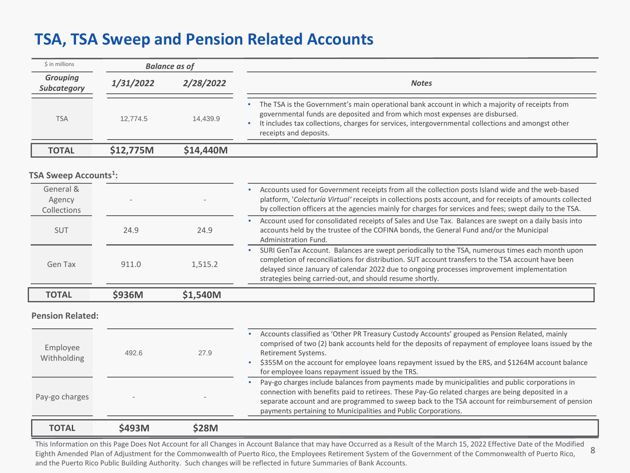## **TSA, TSA Sweep and Pension Related Accounts**

| \$ in millions                        | <b>Balance as of</b> |              |                                                                                                                                                                                                                                                                                                                                                                                              |
|---------------------------------------|----------------------|--------------|----------------------------------------------------------------------------------------------------------------------------------------------------------------------------------------------------------------------------------------------------------------------------------------------------------------------------------------------------------------------------------------------|
| <b>Grouping</b><br><b>Subcategory</b> | 1/31/2022            | 2/28/2022    | <b>Notes</b>                                                                                                                                                                                                                                                                                                                                                                                 |
| <b>TSA</b>                            | 12,774.5             | 14,439.9     | The TSA is the Government's main operational bank account in which a majority of receipts from<br>governmental funds are deposited and from which most expenses are disbursed.<br>It includes tax collections, charges for services, intergovernmental collections and amongst other<br>٠<br>receipts and deposits.                                                                          |
| <b>TOTAL</b>                          | \$12,775M            | \$14,440M    |                                                                                                                                                                                                                                                                                                                                                                                              |
| TSA Sweep Accounts <sup>1</sup> :     |                      |              |                                                                                                                                                                                                                                                                                                                                                                                              |
| General &<br>Agency<br>Collections    |                      |              | Accounts used for Government receipts from all the collection posts Island wide and the web-based<br>platform, 'Colecturía Virtual' receipts in collections posts account, and for receipts of amounts collected<br>by collection officers at the agencies mainly for charges for services and fees; swept daily to the TSA.                                                                 |
| <b>SUT</b>                            | 24.9                 | 24.9         | Account used for consolidated receipts of Sales and Use Tax. Balances are swept on a daily basis into<br>accounts held by the trustee of the COFINA bonds, the General Fund and/or the Municipal<br>Administration Fund.                                                                                                                                                                     |
| Gen Tax                               | 911.0                | 1,515.2      | SURI GenTax Account. Balances are swept periodically to the TSA, numerous times each month upon<br>completion of reconciliations for distribution. SUT account transfers to the TSA account have been<br>delayed since January of calendar 2022 due to ongoing processes improvement implementation<br>strategies being carried-out, and should resume shortly.                              |
| <b>TOTAL</b>                          | \$936M               | \$1,540M     |                                                                                                                                                                                                                                                                                                                                                                                              |
| <b>Pension Related:</b>               |                      |              |                                                                                                                                                                                                                                                                                                                                                                                              |
| Employee<br>Withholding               | 492.6                | 27.9         | Accounts classified as 'Other PR Treasury Custody Accounts' grouped as Pension Related, mainly<br>×.<br>comprised of two (2) bank accounts held for the deposits of repayment of employee loans issued by the<br>Retirement Systems.<br>\$355M on the account for employee loans repayment issued by the ERS, and \$1264M account balance<br>for employee loans repayment issued by the TRS. |
| Pay-go charges                        |                      |              | Pay-go charges include balances from payments made by municipalities and public corporations in<br>connection with benefits paid to retirees. These Pay-Go related charges are being deposited in a<br>separate account and are programmed to sweep back to the TSA account for reimbursement of pension<br>payments pertaining to Municipalities and Public Corporations.                   |
| <b>TOTAL</b>                          | \$493M               | <b>\$28M</b> |                                                                                                                                                                                                                                                                                                                                                                                              |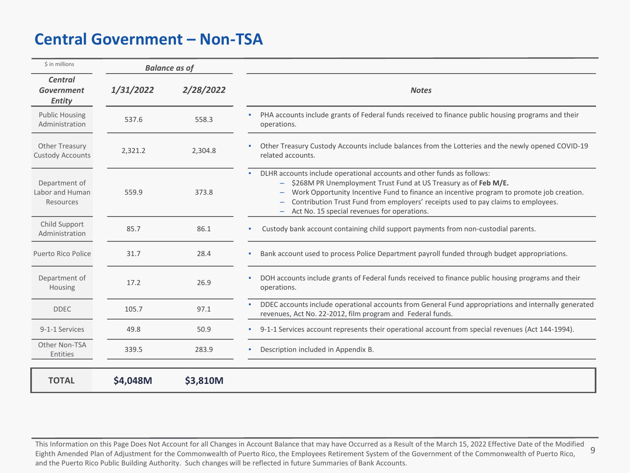# **Central Government – Non-TSA**

| \$ in millions                                |           | <b>Balance as of</b> |                                                                                                                                                                                                                                                                                                                                                                                  |
|-----------------------------------------------|-----------|----------------------|----------------------------------------------------------------------------------------------------------------------------------------------------------------------------------------------------------------------------------------------------------------------------------------------------------------------------------------------------------------------------------|
| <b>Central</b><br>Government<br><b>Entity</b> | 1/31/2022 | 2/28/2022            | <b>Notes</b>                                                                                                                                                                                                                                                                                                                                                                     |
| <b>Public Housing</b><br>Administration       | 537.6     | 558.3                | PHA accounts include grants of Federal funds received to finance public housing programs and their<br>operations.                                                                                                                                                                                                                                                                |
| Other Treasury<br><b>Custody Accounts</b>     | 2,321.2   | 2,304.8              | Other Treasury Custody Accounts include balances from the Lotteries and the newly opened COVID-19<br>related accounts.                                                                                                                                                                                                                                                           |
| Department of<br>Labor and Human<br>Resources | 559.9     | 373.8                | DLHR accounts include operational accounts and other funds as follows:<br>\$268M PR Unemployment Trust Fund at US Treasury as of Feb M/E.<br>Work Opportunity Incentive Fund to finance an incentive program to promote job creation.<br>Contribution Trust Fund from employers' receipts used to pay claims to employees.<br>Act No. 15 special revenues for operations.<br>$-$ |
| Child Support<br>Administration               | 85.7      | 86.1                 | Custody bank account containing child support payments from non-custodial parents.                                                                                                                                                                                                                                                                                               |
| <b>Puerto Rico Police</b>                     | 31.7      | 28.4                 | Bank account used to process Police Department payroll funded through budget appropriations.                                                                                                                                                                                                                                                                                     |
| Department of<br>Housing                      | 17.2      | 26.9                 | DOH accounts include grants of Federal funds received to finance public housing programs and their<br>operations.                                                                                                                                                                                                                                                                |
| <b>DDEC</b>                                   | 105.7     | 97.1                 | DDEC accounts include operational accounts from General Fund appropriations and internally generated<br>revenues, Act No. 22-2012, film program and Federal funds.                                                                                                                                                                                                               |
| 9-1-1 Services                                | 49.8      | 50.9                 | - 9-1-1 Services account represents their operational account from special revenues (Act 144-1994).                                                                                                                                                                                                                                                                              |
| Other Non-TSA<br>Entities                     | 339.5     | 283.9                | Description included in Appendix B.                                                                                                                                                                                                                                                                                                                                              |
| <b>TOTAL</b>                                  | \$4,048M  | \$3,810M             |                                                                                                                                                                                                                                                                                                                                                                                  |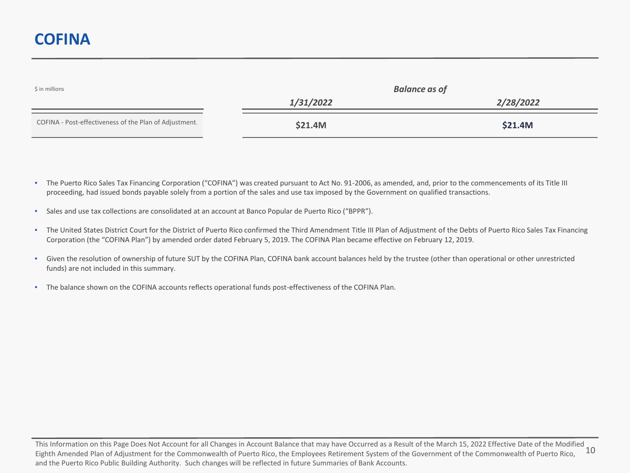| \$ in millions                                         | <b>Balance as of</b> |           |  |
|--------------------------------------------------------|----------------------|-----------|--|
|                                                        | 1/31/2022            | 2/28/2022 |  |
| COFINA - Post-effectiveness of the Plan of Adjustment. | \$21.4M              | \$21.4M   |  |

- The Puerto Rico Sales Tax Financing Corporation ("COFINA") was created pursuant to Act No. 91-2006, as amended, and, prior to the commencements of its Title III proceeding, had issued bonds payable solely from a portion of the sales and use tax imposed by the Government on qualified transactions.
- Sales and use tax collections are consolidated at an account at Banco Popular de Puerto Rico ("BPPR").
- The United States District Court for the District of Puerto Rico confirmed the Third Amendment Title III Plan of Adjustment of the Debts of Puerto Rico Sales Tax Financing Corporation (the "COFINA Plan") by amended order dated February 5, 2019. The COFINA Plan became effective on February 12, 2019.
- Given the resolution of ownership of future SUT by the COFINA Plan, COFINA bank account balances held by the trustee (other than operational or other unrestricted funds) are not included in this summary.
- The balance shown on the COFINA accounts reflects operational funds post-effectiveness of the COFINA Plan.

<sup>10</sup> This Information on this Page Does Not Account for all Changes in Account Balance that may have Occurred as a Result of the March 15, 2022 Effective Date of the Modified Eighth Amended Plan of Adjustment for the Commonwealth of Puerto Rico, the Employees Retirement System of the Government of the Commonwealth of Puerto Rico, and the Puerto Rico Public Building Authority. Such changes will be reflected in future Summaries of Bank Accounts.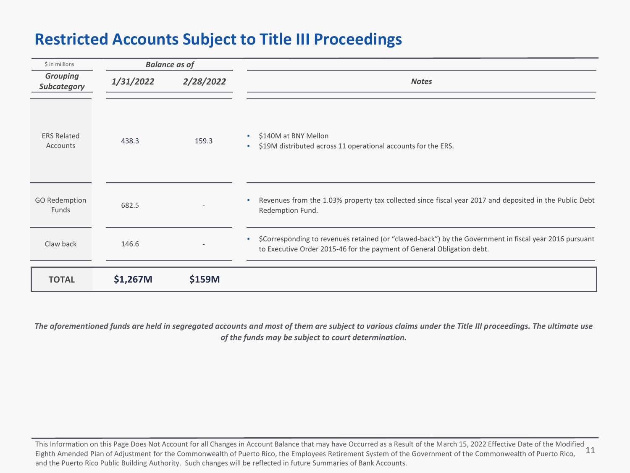## **Restricted Accounts Subject to Title III Proceedings**

| \$ in millions                        |           | <b>Balance as of</b> |                                                                                                                                                                                        |
|---------------------------------------|-----------|----------------------|----------------------------------------------------------------------------------------------------------------------------------------------------------------------------------------|
| <b>Grouping</b><br><b>Subcategory</b> | 1/31/2022 | 2/28/2022            | <b>Notes</b>                                                                                                                                                                           |
| <b>ERS Related</b><br>Accounts        | 438.3     | 159.3                | \$140M at BNY Mellon<br>\$19M distributed across 11 operational accounts for the ERS.<br>۰.                                                                                            |
| <b>GO Redemption</b><br><b>Funds</b>  | 682.5     |                      | Revenues from the 1.03% property tax collected since fiscal year 2017 and deposited in the Public Debt<br>Redemption Fund.                                                             |
| Claw back                             | 146.6     |                      | \$Corresponding to revenues retained (or "clawed-back") by the Government in fiscal year 2016 pursuant<br>٠.<br>to Executive Order 2015-46 for the payment of General Obligation debt. |
| <b>TOTAL</b>                          | \$1,267M  | \$159M               |                                                                                                                                                                                        |

*The aforementioned funds are held in segregated accounts and most of them are subject to various claims under the Title III proceedings. The ultimate use of the funds may be subject to court determination.*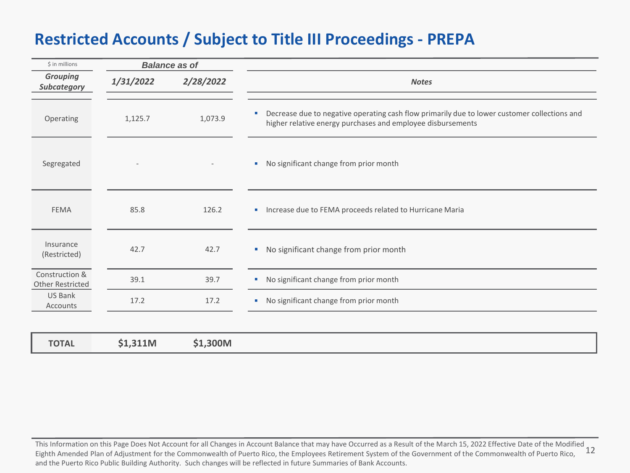## **Restricted Accounts / Subject to Title III Proceedings - PREPA**

| \$ in millions                     |           | <b>Balance as of</b> |                                                                                                                                                                  |
|------------------------------------|-----------|----------------------|------------------------------------------------------------------------------------------------------------------------------------------------------------------|
| <b>Grouping</b><br>Subcategory     | 1/31/2022 | 2/28/2022            | <b>Notes</b>                                                                                                                                                     |
| Operating                          | 1,125.7   | 1,073.9              | Decrease due to negative operating cash flow primarily due to lower customer collections and<br>×<br>higher relative energy purchases and employee disbursements |
| Segregated                         |           |                      | No significant change from prior month<br>×                                                                                                                      |
| <b>FEMA</b>                        | 85.8      | 126.2                | Increase due to FEMA proceeds related to Hurricane Maria                                                                                                         |
| Insurance<br>(Restricted)          | 42.7      | 42.7                 | No significant change from prior month<br>$\blacksquare$                                                                                                         |
| Construction &<br>Other Restricted | 39.1      | 39.7                 | No significant change from prior month                                                                                                                           |
| <b>US Bank</b><br>Accounts         | 17.2      | 17.2                 | No significant change from prior month<br>ш                                                                                                                      |
| <b>TOTAL</b>                       | \$1,311M  | \$1,300M             |                                                                                                                                                                  |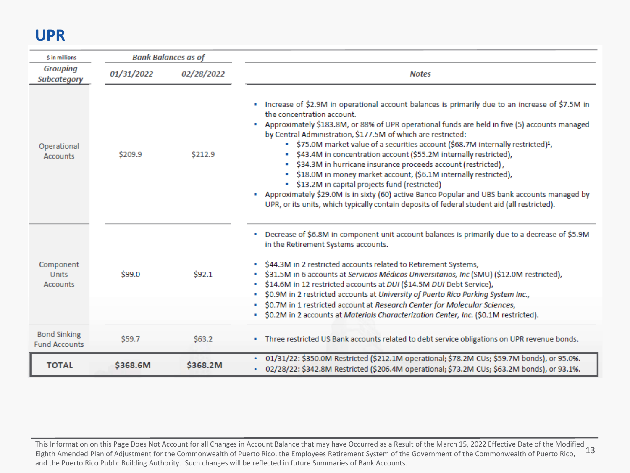#### **UPR**

| \$ in millions                               |            | <b>Bank Balances as of</b> |                                                                                                                                                                                                                                                                                                                                                                                                                                                                                                                                                                                                                                                                                                                                                                                                                                                                         |
|----------------------------------------------|------------|----------------------------|-------------------------------------------------------------------------------------------------------------------------------------------------------------------------------------------------------------------------------------------------------------------------------------------------------------------------------------------------------------------------------------------------------------------------------------------------------------------------------------------------------------------------------------------------------------------------------------------------------------------------------------------------------------------------------------------------------------------------------------------------------------------------------------------------------------------------------------------------------------------------|
| <b>Grouping</b><br>Subcategory               | 01/31/2022 | 02/28/2022                 | <b>Notes</b>                                                                                                                                                                                                                                                                                                                                                                                                                                                                                                                                                                                                                                                                                                                                                                                                                                                            |
| Operational<br><b>Accounts</b>               | \$209.9    | \$212.9                    | . Increase of \$2.9M in operational account balances is primarily due to an increase of \$7.5M in<br>the concentration account.<br>- Approximately \$183.8M, or 88% of UPR operational funds are held in five (5) accounts managed<br>by Central Administration, \$177.5M of which are restricted:<br>. \$75.0M market value of a securities account (\$68.7M internally restricted) <sup>1</sup> ,<br>\$43.4M in concentration account (\$55.2M internally restricted),<br>٠<br>\$34.3M in hurricane insurance proceeds account (restricted),<br>\$18.0M in money market account, (\$6.1M internally restricted),<br>• \$13.2M in capital projects fund (restricted)<br>- Approximately \$29.0M is in sixty (60) active Banco Popular and UBS bank accounts managed by<br>UPR, or its units, which typically contain deposits of federal student aid (all restricted). |
| Component<br><b>Units</b><br><b>Accounts</b> | \$99.0     | \$92.1                     | • Decrease of \$6.8M in component unit account balances is primarily due to a decrease of \$5.9M<br>in the Retirement Systems accounts.<br>\$44.3M in 2 restricted accounts related to Retirement Systems,<br>\$31.5M in 6 accounts at Servicios Médicos Universitarios, Inc (SMU) (\$12.0M restricted),<br>\$14.6M in 12 restricted accounts at DUI (\$14.5M DUI Debt Service),<br>٠<br>\$0.9M in 2 restricted accounts at University of Puerto Rico Parking System Inc.,<br>\$0.7M in 1 restricted account at Research Center for Molecular Sciences,<br>٠<br>\$0.2M in 2 accounts at Materials Characterization Center, Inc. (\$0.1M restricted).                                                                                                                                                                                                                    |
| <b>Bond Sinking</b><br><b>Fund Accounts</b>  | \$59.7     | \$63.2\$                   | . Three restricted US Bank accounts related to debt service obligations on UPR revenue bonds.                                                                                                                                                                                                                                                                                                                                                                                                                                                                                                                                                                                                                                                                                                                                                                           |
| <b>TOTAL</b>                                 | \$368.6M   | \$368.2M                   | • 01/31/22: \$350.0M Restricted (\$212.1M operational; \$78.2M CUs; \$59.7M bonds), or 95.0%.<br>• 02/28/22: \$342.8M Restricted (\$206.4M operational; \$73.2M CUs; \$63.2M bonds), or 93.1%.                                                                                                                                                                                                                                                                                                                                                                                                                                                                                                                                                                                                                                                                          |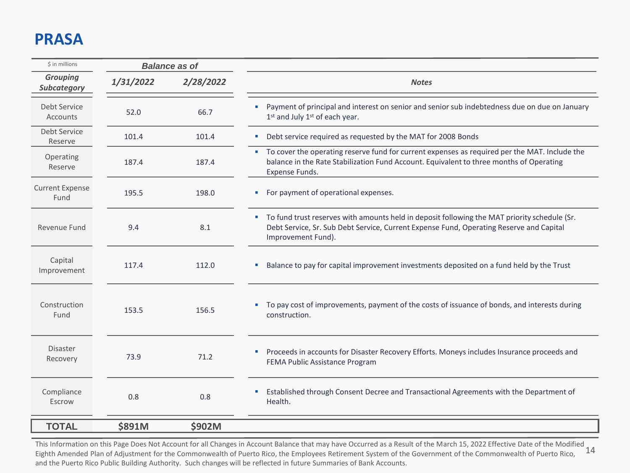## **PRASA**

| \$ in millions                        | <b>Balance as of</b> |               |                                                                                                                                                                                                                 |
|---------------------------------------|----------------------|---------------|-----------------------------------------------------------------------------------------------------------------------------------------------------------------------------------------------------------------|
| <b>Grouping</b><br><b>Subcategory</b> | 1/31/2022            | 2/28/2022     | <b>Notes</b>                                                                                                                                                                                                    |
| <b>Debt Service</b><br>Accounts       | 52.0                 | 66.7          | Payment of principal and interest on senior and senior sub indebtedness due on due on January<br>1st and July 1st of each year.                                                                                 |
| <b>Debt Service</b><br>Reserve        | 101.4                | 101.4         | Debt service required as requested by the MAT for 2008 Bonds                                                                                                                                                    |
| Operating<br>Reserve                  | 187.4                | 187.4         | " To cover the operating reserve fund for current expenses as required per the MAT. Include the<br>balance in the Rate Stabilization Fund Account. Equivalent to three months of Operating<br>Expense Funds.    |
| <b>Current Expense</b><br>Fund        | 195.5                | 198.0         | For payment of operational expenses.<br>٠                                                                                                                                                                       |
| Revenue Fund                          | 9.4                  | 8.1           | " To fund trust reserves with amounts held in deposit following the MAT priority schedule (Sr.<br>Debt Service, Sr. Sub Debt Service, Current Expense Fund, Operating Reserve and Capital<br>Improvement Fund). |
| Capital<br>Improvement                | 117.4                | 112.0         | Balance to pay for capital improvement investments deposited on a fund held by the Trust<br>a.                                                                                                                  |
| Construction<br>Fund                  | 153.5                | 156.5         | To pay cost of improvements, payment of the costs of issuance of bonds, and interests during<br>٠<br>construction.                                                                                              |
| <b>Disaster</b><br>Recovery           | 73.9                 | 71.2          | Proceeds in accounts for Disaster Recovery Efforts. Moneys includes Insurance proceeds and<br>٠<br>FEMA Public Assistance Program                                                                               |
| Compliance<br>Escrow                  | 0.8                  | 0.8           | Established through Consent Decree and Transactional Agreements with the Department of<br>×<br>Health.                                                                                                          |
| <b>TOTAL</b>                          | \$891M               | <b>\$902M</b> |                                                                                                                                                                                                                 |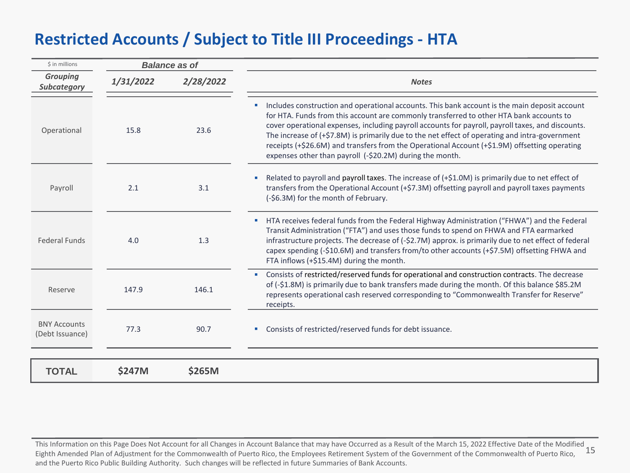## **Restricted Accounts / Subject to Title III Proceedings - HTA**

| \$ in millions                         | <b>Balance as of</b> |           |                                                                                                                                                                                                                                                                                                                                                                                                                                                                                                                                                                |
|----------------------------------------|----------------------|-----------|----------------------------------------------------------------------------------------------------------------------------------------------------------------------------------------------------------------------------------------------------------------------------------------------------------------------------------------------------------------------------------------------------------------------------------------------------------------------------------------------------------------------------------------------------------------|
| <b>Grouping</b><br><b>Subcategory</b>  | 1/31/2022            | 2/28/2022 | <b>Notes</b>                                                                                                                                                                                                                                                                                                                                                                                                                                                                                                                                                   |
| Operational                            | 15.8                 | 23.6      | " Includes construction and operational accounts. This bank account is the main deposit account<br>for HTA. Funds from this account are commonly transferred to other HTA bank accounts to<br>cover operational expenses, including payroll accounts for payroll, payroll taxes, and discounts.<br>The increase of (+\$7.8M) is primarily due to the net effect of operating and intra-government<br>receipts (+\$26.6M) and transfers from the Operational Account (+\$1.9M) offsetting operating<br>expenses other than payroll (-\$20.2M) during the month. |
| Payroll                                | 2.1                  | 3.1       | Related to payroll and payroll taxes. The increase of $(+$1.0M)$ is primarily due to net effect of<br>transfers from the Operational Account (+\$7.3M) offsetting payroll and payroll taxes payments<br>(-\$6.3M) for the month of February.                                                                                                                                                                                                                                                                                                                   |
| <b>Federal Funds</b>                   | 4.0                  | 1.3       | HTA receives federal funds from the Federal Highway Administration ("FHWA") and the Federal<br>m.<br>Transit Administration ("FTA") and uses those funds to spend on FHWA and FTA earmarked<br>infrastructure projects. The decrease of (-\$2.7M) approx. is primarily due to net effect of federal<br>capex spending (-\$10.6M) and transfers from/to other accounts (+\$7.5M) offsetting FHWA and<br>FTA inflows (+\$15.4M) during the month.                                                                                                                |
| Reserve                                | 147.9                | 146.1     | " Consists of restricted/reserved funds for operational and construction contracts. The decrease<br>of (-\$1.8M) is primarily due to bank transfers made during the month. Of this balance \$85.2M<br>represents operational cash reserved corresponding to "Commonwealth Transfer for Reserve"<br>receipts.                                                                                                                                                                                                                                                   |
| <b>BNY Accounts</b><br>(Debt Issuance) | 77.3                 | 90.7      | Consists of restricted/reserved funds for debt issuance.<br>ш                                                                                                                                                                                                                                                                                                                                                                                                                                                                                                  |
| <b>TOTAL</b>                           | <b>\$247M</b>        | \$265M    |                                                                                                                                                                                                                                                                                                                                                                                                                                                                                                                                                                |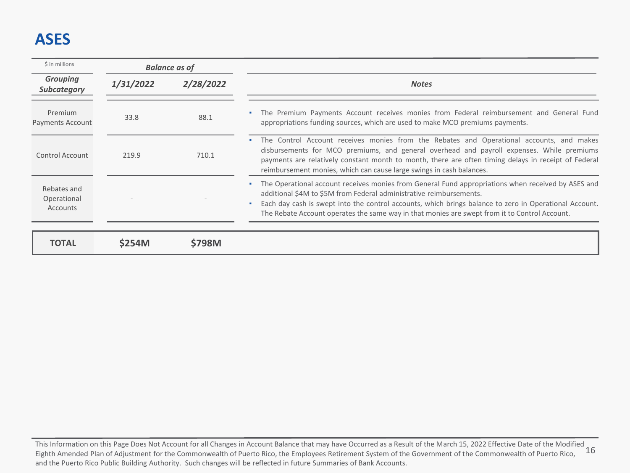## **ASES**

| \$ in millions                         | <b>Balance as of</b> |           |                                                                                                                                                                                                                                                                                                                                                                                      |
|----------------------------------------|----------------------|-----------|--------------------------------------------------------------------------------------------------------------------------------------------------------------------------------------------------------------------------------------------------------------------------------------------------------------------------------------------------------------------------------------|
| <b>Grouping</b><br><b>Subcategory</b>  | 1/31/2022            | 2/28/2022 | <b>Notes</b>                                                                                                                                                                                                                                                                                                                                                                         |
| Premium<br>Payments Account            | 33.8                 | 88.1      | The Premium Payments Account receives monies from Federal reimbursement and General Fund<br>appropriations funding sources, which are used to make MCO premiums payments.                                                                                                                                                                                                            |
| Control Account                        | 219.9                | 710.1     | . The Control Account receives monies from the Rebates and Operational accounts, and makes<br>disbursements for MCO premiums, and general overhead and payroll expenses. While premiums<br>payments are relatively constant month to month, there are often timing delays in receipt of Federal<br>reimbursement monies, which can cause large swings in cash balances.              |
| Rebates and<br>Operational<br>Accounts |                      |           | The Operational account receives monies from General Fund appropriations when received by ASES and<br>additional \$4M to \$5M from Federal administrative reimbursements.<br>Each day cash is swept into the control accounts, which brings balance to zero in Operational Account.<br>The Rebate Account operates the same way in that monies are swept from it to Control Account. |
| <b>TOTAL</b>                           | <b>\$254M</b>        | \$798M    |                                                                                                                                                                                                                                                                                                                                                                                      |

This Information on this Page Does Not Account for all Changes in Account Balance that may have Occurred as a Result of the March 15, 2022 Effective Date of the Modified<br>Eighth Amended Plan of Adiustment for the Commonweal Eighth Amended Plan of Adjustment for the Commonwealth of Puerto Rico, the Employees Retirement System of the Government of the Commonwealth of Puerto Rico, and the Puerto Rico Public Building Authority. Such changes will be reflected in future Summaries of Bank Accounts.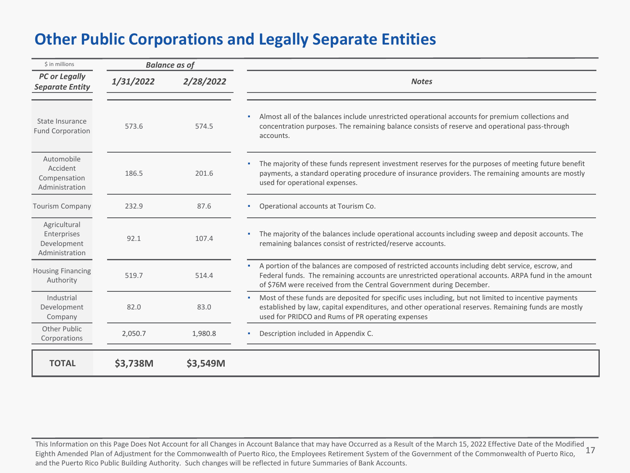#### **Other Public Corporations and Legally Separate Entities**

| \$ in millions                                               |           | <b>Balance as of</b> |                                                                                                                                                                                                                                                                                       |
|--------------------------------------------------------------|-----------|----------------------|---------------------------------------------------------------------------------------------------------------------------------------------------------------------------------------------------------------------------------------------------------------------------------------|
| <b>PC or Legally</b><br><b>Separate Entity</b>               | 1/31/2022 | 2/28/2022            | <b>Notes</b>                                                                                                                                                                                                                                                                          |
| State Insurance<br><b>Fund Corporation</b>                   | 573.6     | 574.5                | Almost all of the balances include unrestricted operational accounts for premium collections and<br>concentration purposes. The remaining balance consists of reserve and operational pass-through<br>accounts.                                                                       |
| Automobile<br>Accident<br>Compensation<br>Administration     | 186.5     | 201.6                | The majority of these funds represent investment reserves for the purposes of meeting future benefit<br>payments, a standard operating procedure of insurance providers. The remaining amounts are mostly<br>used for operational expenses.                                           |
| <b>Tourism Company</b>                                       | 232.9     | 87.6                 | Operational accounts at Tourism Co.                                                                                                                                                                                                                                                   |
| Agricultural<br>Enterprises<br>Development<br>Administration | 92.1      | 107.4                | The majority of the balances include operational accounts including sweep and deposit accounts. The<br>remaining balances consist of restricted/reserve accounts.                                                                                                                     |
| <b>Housing Financing</b><br>Authority                        | 519.7     | 514.4                | A portion of the balances are composed of restricted accounts including debt service, escrow, and<br>٠<br>Federal funds. The remaining accounts are unrestricted operational accounts. ARPA fund in the amount<br>of \$76M were received from the Central Government during December. |
| Industrial<br>Development<br>Company                         | 82.0      | 83.0                 | Most of these funds are deposited for specific uses including, but not limited to incentive payments<br>established by law, capital expenditures, and other operational reserves. Remaining funds are mostly<br>used for PRIDCO and Rums of PR operating expenses                     |
| Other Public<br>Corporations                                 | 2,050.7   | 1,980.8              | Description included in Appendix C.                                                                                                                                                                                                                                                   |
| <b>TOTAL</b>                                                 | \$3,738M  | \$3,549M             |                                                                                                                                                                                                                                                                                       |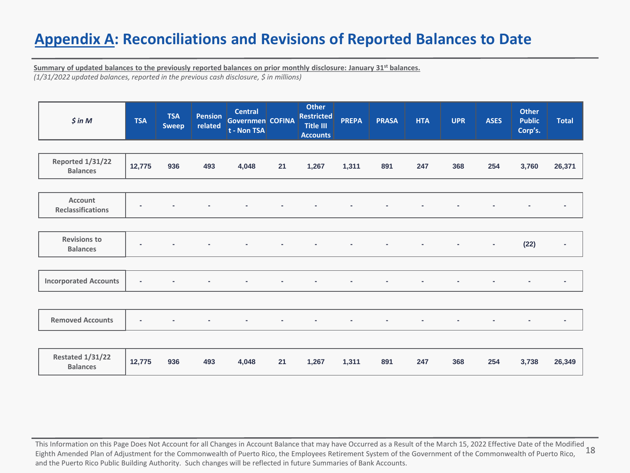## **Appendix A: Reconciliations and Revisions of Reported Balances to Date**

**Summary of updated balances to the previously reported balances on prior monthly disclosure: January 31st balances.**

*(1/31/2022 updated balances, reported in the previous cash disclosure, \$ in millions)*

| \$ <i>in</i> M                             | <b>TSA</b> | <b>TSA</b><br>Sweep | <b>Pension</b><br>related | <b>Central</b><br><b>Governmen COFINA</b><br>t - Non TSA |    | <b>Other</b><br><b>Restricted</b><br><b>Title III</b><br><b>Accounts</b> | <b>PREPA</b> | <b>PRASA</b> | <b>HTA</b>               | <b>UPR</b> | <b>ASES</b>              | Other<br><b>Public</b><br>Corp's. | <b>Total</b>   |
|--------------------------------------------|------------|---------------------|---------------------------|----------------------------------------------------------|----|--------------------------------------------------------------------------|--------------|--------------|--------------------------|------------|--------------------------|-----------------------------------|----------------|
|                                            |            |                     |                           |                                                          |    |                                                                          |              |              |                          |            |                          |                                   |                |
| <b>Reported 1/31/22</b><br><b>Balances</b> | 12,775     | 936                 | 493                       | 4,048                                                    | 21 | 1,267                                                                    | 1,311        | 891          | 247                      | 368        | 254                      | 3,760                             | 26,371         |
|                                            |            |                     |                           |                                                          |    |                                                                          |              |              |                          |            |                          |                                   |                |
| Account<br><b>Reclassifications</b>        |            | $\blacksquare$      | $\overline{\phantom{a}}$  | $\overline{\phantom{a}}$                                 | ٠  | $\overline{\phantom{a}}$                                                 | ٠            | ٠            | $\overline{\phantom{a}}$ |            |                          |                                   | ٠              |
|                                            |            |                     |                           |                                                          |    |                                                                          |              |              |                          |            |                          |                                   |                |
| <b>Revisions to</b><br><b>Balances</b>     |            | $\blacksquare$      | ٠                         |                                                          |    |                                                                          |              | ٠            | $\blacksquare$           |            | $\overline{\phantom{a}}$ | (22)                              | $\sim$         |
|                                            |            |                     |                           |                                                          |    |                                                                          |              |              |                          |            |                          |                                   |                |
| <b>Incorporated Accounts</b>               | ٠          |                     |                           |                                                          |    |                                                                          |              |              |                          |            |                          |                                   | $\blacksquare$ |
|                                            |            |                     |                           |                                                          |    |                                                                          |              |              |                          |            |                          |                                   |                |
| <b>Removed Accounts</b>                    | ٠          | $\blacksquare$      | ٠                         | ٠                                                        | ٠  | ٠                                                                        | ٠            | ٠            | $\blacksquare$           | ٠          | ٠                        | ٠                                 | ٠              |
|                                            |            |                     |                           |                                                          |    |                                                                          |              |              |                          |            |                          |                                   |                |
| <b>Restated 1/31/22</b><br><b>Balances</b> | 12,775     | 936                 | 493                       | 4,048                                                    | 21 | 1,267                                                                    | 1,311        | 891          | 247                      | 368        | 254                      | 3,738                             | 26,349         |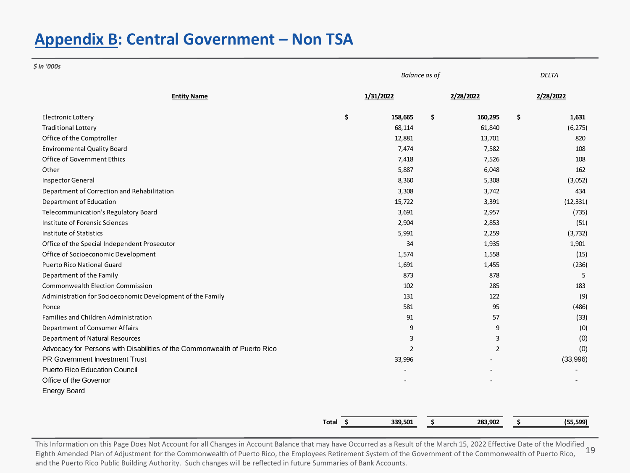## **Appendix B: Central Government – Non TSA**

*\$ in '000s*

|                                                                           |          | <b>DELTA</b>   |                |    |           |
|---------------------------------------------------------------------------|----------|----------------|----------------|----|-----------|
| <b>Entity Name</b>                                                        |          | 1/31/2022      | 2/28/2022      |    | 2/28/2022 |
| <b>Electronic Lottery</b>                                                 | \$       | 158,665        | \$<br>160,295  | \$ | 1,631     |
| <b>Traditional Lottery</b>                                                |          | 68,114         | 61,840         |    | (6, 275)  |
| Office of the Comptroller                                                 |          | 12,881         | 13,701         |    | 820       |
| <b>Environmental Quality Board</b>                                        |          | 7,474          | 7,582          |    | 108       |
| Office of Government Ethics                                               |          | 7,418          | 7,526          |    | 108       |
| Other                                                                     |          | 5,887          | 6,048          |    | 162       |
| <b>Inspector General</b>                                                  |          | 8,360          | 5,308          |    | (3,052)   |
| Department of Correction and Rehabilitation                               |          | 3,308          | 3,742          |    | 434       |
| Department of Education                                                   |          | 15,722         | 3,391          |    | (12, 331) |
| Telecommunication's Regulatory Board                                      |          | 3,691          | 2,957          |    | (735)     |
| Institute of Forensic Sciences                                            |          | 2,904          | 2,853          |    | (51)      |
| Institute of Statistics                                                   |          | 5,991          | 2,259          |    | (3, 732)  |
| Office of the Special Independent Prosecutor                              |          | 34             | 1,935          |    | 1,901     |
| Office of Socioeconomic Development                                       |          | 1,574          | 1,558          |    | (15)      |
| <b>Puerto Rico National Guard</b>                                         |          | 1,691          | 1,455          |    | (236)     |
| Department of the Family                                                  |          | 873            | 878            |    | 5         |
| <b>Commonwealth Election Commission</b>                                   |          | 102            | 285            |    | 183       |
| Administration for Socioeconomic Development of the Family                |          | 131            | 122            |    | (9)       |
| Ponce                                                                     |          | 581            | 95             |    | (486)     |
| Families and Children Administration                                      |          | 91             | 57             |    | (33)      |
| Department of Consumer Affairs                                            |          | 9              | 9              |    | (0)       |
| Department of Natural Resources                                           |          | 3              | 3              |    | (0)       |
| Advocacy for Persons with Disabilities of the Commonwealth of Puerto Rico |          | $\overline{2}$ | $\overline{2}$ |    | (0)       |
| PR Government Investment Trust                                            |          | 33,996         |                |    | (33,996)  |
| Puerto Rico Education Council                                             |          |                |                |    |           |
| Office of the Governor                                                    |          |                |                |    |           |
| <b>Energy Board</b>                                                       |          |                |                |    |           |
|                                                                           |          |                |                |    |           |
|                                                                           | Total \$ | 339,501        | \$<br>283,902  | \$ | (55, 599) |